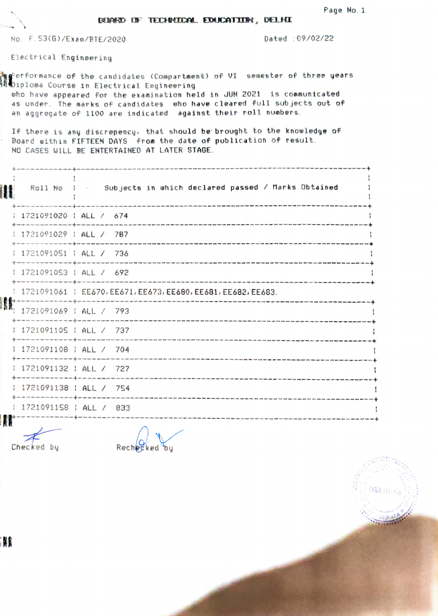DELIN-8.

## BARGO OF TECHNOCAL EDUCATION, DELHI

No. F.53(G)/Exen/RTE/20200 Dated 09/02/22

Electrical Engineering

erformance of the candidates (Compartment) of VI semester of three years iploma Course in Electrical Engineering uho have appeared for the examination held in JUN 2021 is communicated as under. The marks of candidates uho have cleared full sub jects out of an aggregate of 1100 are indicated against their roll numbers. If there is any discrepency, that should be brought to the knowledge of Board within FIFTEEN DAYS from the date of publication of result. NO CASES WILL BE ENTERTAINED AT LATER STAGE. Roll No : Subjects in which declared passed / Marks Obtained 1721091020 | ALL / 674 1721091029 | ALL / 787 1721091051 | ALL / 736 1721091053 ALL / 692 1721091061EE670, EE671, EE673, EE680. EE681, EE682, EE683 1721091069 ALL/ 793 1721091105 | ALL / 737 1721091108 ALL 704 + 1721091 132 ALL 727 1721091138 ALL 754 -+-- 1721091158 ALL/ 833 

Checked by Rechedked by